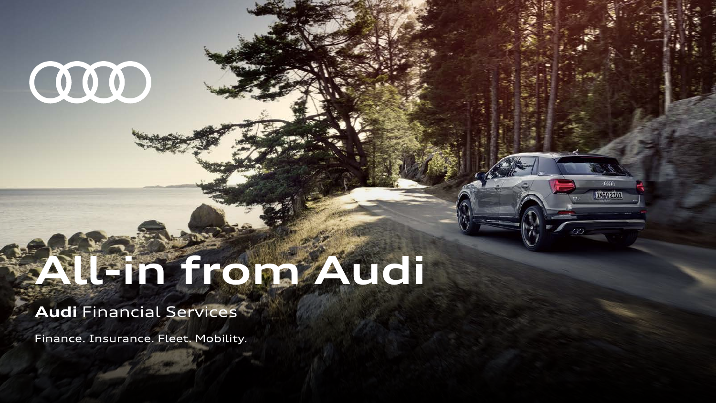# OOO

## **All-in from Audi**

### **Audi Financial Services**

Finance. Insurance. Fleet. Mobility.

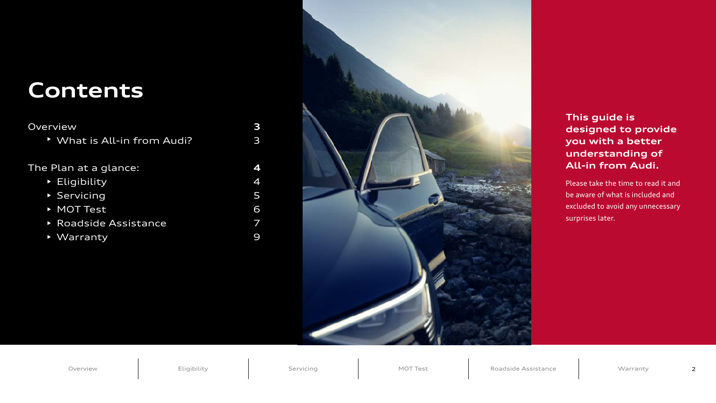#### **This guide is designed to provide you with a better understanding of All-in from Audi.**

Please take the time to read it and be aware of what is included and excluded to avoid any unnecessary surprises later.

[Overview](#page-2-0) **[Eligibility](#page-3-0) [Servicing](#page-4-0) [MOT Test](#page-5-0)** [Roadside Assistance](#page-6-0) [Warranty](#page-8-0) 2

| Overview                     | 3            |
|------------------------------|--------------|
| V What is All-in from Audi?  | $\mathbf{B}$ |
|                              | 4            |
| The Plan at a glance:        |              |
| $\triangleright$ Eligibility | 4            |
| Servicing                    | 5            |
| MOT Test                     | 6            |
| <b>Roadside Assistance</b>   |              |
| ▶ Warranty                   |              |



## **Contents**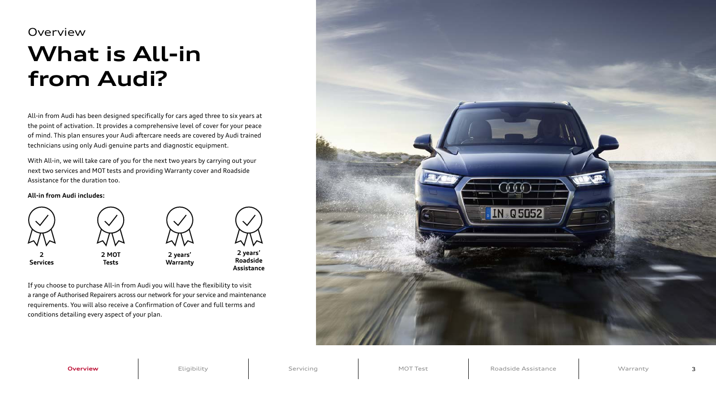All-in from Audi has been designed specifically for cars aged three to six years at the point of activation. It provides a comprehensive level of cover for your peace of mind. This plan ensures your Audi aftercare needs are covered by Audi trained technicians using only Audi genuine parts and diagnostic equipment.

With All-in, we will take care of you for the next two years by carrying out your next two services and MOT tests and providing Warranty cover and Roadside Assistance for the duration too.

## <span id="page-2-0"></span>**What is All-in from Audi? Overview**

#### **All-in from Audi includes:**

If you choose to purchase All-in from Audi you will have the flexibility to visit a range of Authorised Repairers across our network for your service and maintenance requirements. You will also receive a Confirmation of Cover and full terms and conditions detailing every aspect of your plan.



**Overview** | [Eligibility](#page-3-0) [Servicing](#page-4-0) | [MOT Test](#page-5-0) | [Roadside Assistance](#page-6-0) | [Warranty](#page-8-0)



**Services**

**2 MOT Tests**



**2 years' Warranty**



**Roadside Assistance**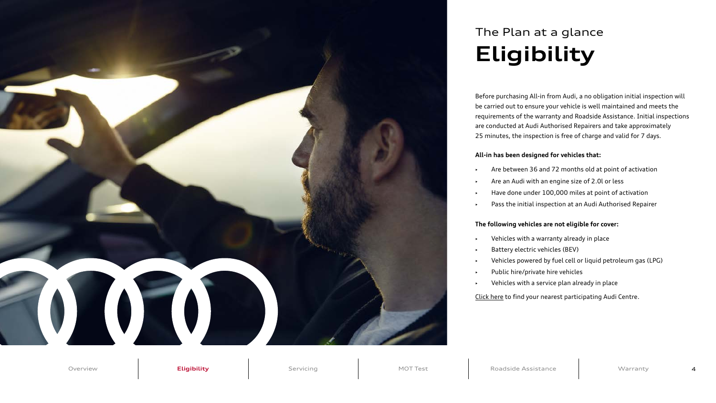Before purchasing All-in from Audi, a no obligation initial inspection will be carried out to ensure your vehicle is well maintained and meets the requirements of the warranty and Roadside Assistance. Initial inspections are conducted at Audi Authorised Repairers and take approximately 25 minutes, the inspection is free of charge and valid for 7 days.

- Are between 36 and 72 months old at point of activation
- Are an Audi with an engine size of 2.0l or less
- Have done under 100,000 miles at point of activation
- Pass the initial inspection at an Audi Authorised Repairer

#### **All-in has been designed for vehicles that:**

#### **The following vehicles are not eligible for cover:**

- Vehicles with a warranty already in place
- Battery electric vehicles (BEV)
- Vehicles powered by fuel cell or liquid petroleum gas (LPG)
- Public hire/private hire vehicles
- Vehicles with a service plan already in place

[Click here](https://www.audi.co.uk/owners-area/locate-a-centre.html) to find your nearest participating Audi Centre.

<span id="page-3-0"></span>

## **Eligibility** The Plan at a glance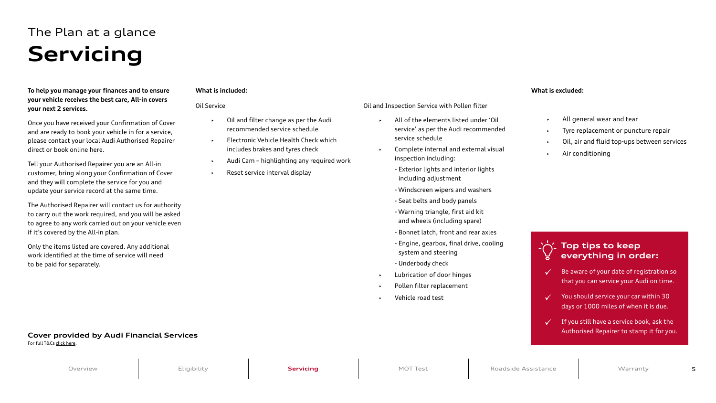Once you have received your Confirmation of Cover and are ready to book your vehicle in for a service, please contact your local Audi Authorised Repairer direct or book online [here](https://www.audi.co.uk/owners-area/service-booking.html#/).

**To help you manage your finances and to ensure your vehicle receives the best care, All-in covers your next 2 services.** 

Tell your Authorised Repairer you are an All-in customer, bring along your Confirmation of Cover and they will complete the service for you and update your service record at the same time.

The Authorised Repairer will contact us for authority to carry out the work required, and you will be asked to agree to any work carried out on your vehicle even if it's covered by the All-in plan.

Only the items listed are covered. Any additional work identified at the time of service will need to be paid for separately.

#### **What is included:**

| <b>Oil Service</b>                                                                                | Oil and Inspect |                    |
|---------------------------------------------------------------------------------------------------|-----------------|--------------------|
| Oil and filter change as per the Audi<br>$\blacktriangleright$<br>recommended service schedule    |                 | All o<br>sery      |
| Electronic Vehicle Health Check which<br>$\blacktriangleright$<br>includes brakes and tyres check |                 | <b>sery</b><br>Con |
| Audi Cam - highlighting any required work<br>Þ                                                    |                 | insp               |
| Reset service interval display<br>▶                                                               |                 | - Ex<br>in         |
|                                                                                                   |                 | $-W$               |
|                                                                                                   |                 | - Se               |
|                                                                                                   |                 | - Wa               |
|                                                                                                   |                 | an                 |
|                                                                                                   |                 | - Bo               |
|                                                                                                   |                 | - En<br>sy:        |
|                                                                                                   |                 | - Ur               |
|                                                                                                   |                 | Lub                |
|                                                                                                   |                 | Poll               |
|                                                                                                   |                 | Veh                |

#### **What is excluded:**

- tion Service with Pollen filter
- of the elements listed under 'Oil vice' as per the Audi recommended vice schedule
- nplete internal and external visual pection including:
- terior lights and interior lights cluding adjustment
- indscreen wipers and washers
- eat belts and body panels
- arning triangle, first aid kit d wheels (including spare)
- 
- nnet latch, front and rear axles
- igine, gearbox, final drive, cooling stem and steering
- derbody check
- rication of door hinges
- len filter replacement
- icle road test
- All general wear and tear
- Tyre replacement or puncture repair
- Oil, air and fluid top-ups between services
- Air conditioning

#### **Top tips to keep everything in order:**

- Be aware of your date of registration so that you can service your Audi on time.
- You should service your car within 30 days or 1000 miles of when it is due.
- $\checkmark$  If you still have a service book, ask the Authorised Repairer to stamp it for you.

## <span id="page-4-0"></span>**Servicing** The Plan at a glance

#### **Cover provided by Audi Financial Services**

For full T&Cs [click here.](https://customer.vwfs.co.uk/content/dam/bluelabel/valid/www-vwfs-co-uk/documents/Audi_Service_and_MOT_-Terms_and_Conditions.pdf)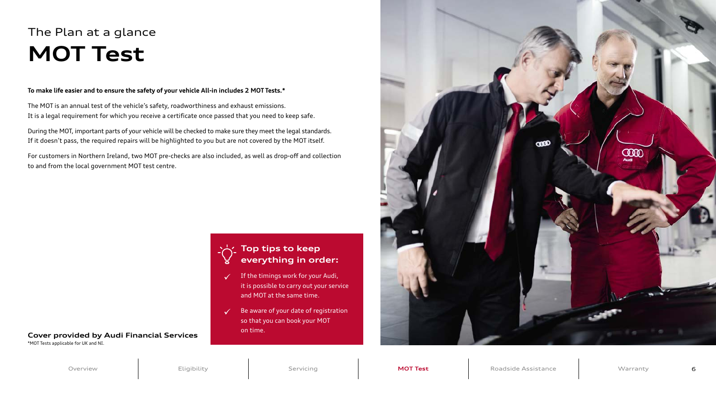#### **To make life easier and to ensure the safety of your vehicle All-in includes 2 MOT Tests.\***

The MOT is an annual test of the vehicle's safety, roadworthiness and exhaust emissions. It is a legal requirement for which you receive a certificate once passed that you need to keep safe.

During the MOT, important parts of your vehicle will be checked to make sure they meet the legal standards. If it doesn't pass, the required repairs will be highlighted to you but are not covered by the MOT itself.

For customers in Northern Ireland, two MOT pre-checks are also included, as well as drop-off and collection to and from the local government MOT test centre.

#### **Top tips to keep everything in order:**

- If the timings work for your Audi, it is possible to carry out your service and MOT at the same time.
- $\checkmark$  Be aware of your date of registration so that you can book your MOT on time.



## <span id="page-5-0"></span>**MOT Test** The Plan at a glance

\*MOT Tests applicable for UK and NI.

#### **Cover provided by Audi Financial Services**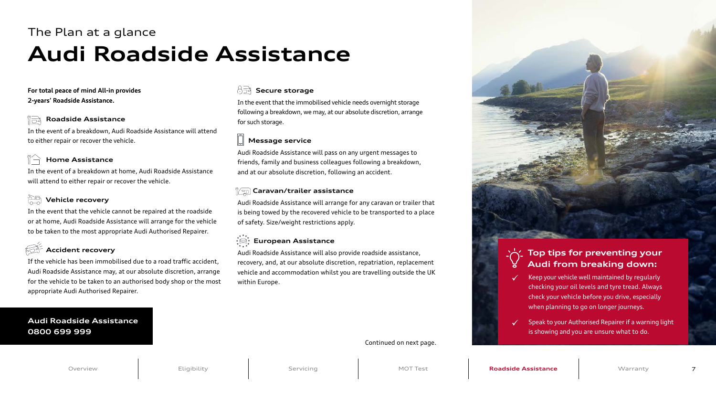#### **Roadside Assistance** ĬŌ

#### **For total peace of mind All-in provides 2-years' Roadside Assistance.**

In the event of a breakdown, Audi Roadside Assistance will attend to either repair or recover the vehicle.

#### **Home Assistance**

In the event of a breakdown at home, Audi Roadside Assistance will attend to either repair or recover the vehicle.

#### **Vehicle recovery**

#### 유극  **Secure storage**

In the event that the vehicle cannot be repaired at the roadside or at home, Audi Roadside Assistance will arrange for the vehicle to be taken to the most appropriate Audi Authorised Repairer.

#### **Accident recovery**

If the vehicle has been immobilised due to a road traffic accident, Audi Roadside Assistance may, at our absolute discretion, arrange for the vehicle to be taken to an authorised body shop or the most appropriate Audi Authorised Repairer.

In the event that the immobilised vehicle needs overnight storage following a breakdown, we may, at our absolute discretion, arrange for such storage.

#### **Message service**

Audi Roadside Assistance will pass on any urgent messages to friends, family and business colleagues following a breakdown, and at our absolute discretion, following an accident.

#### **Caravan/trailer assistance**

Audi Roadside Assistance will arrange for any caravan or trailer that is being towed by the recovered vehicle to be transported to a place of safety. Size/weight restrictions apply.

#### **European Assistance**

Audi Roadside Assistance will also provide roadside assistance, recovery, and, at our absolute discretion, repatriation, replacement vehicle and accommodation whilst you are travelling outside the UK within Europe.

#### **Audi Roadside Assistance 0800 699 999**

## <span id="page-6-0"></span>**Audi Roadside Assistance** The Plan at a glance

#### **Top tips for preventing your Audi from breaking down:**

- Keep your vehicle well maintained by regularly checking your oil levels and tyre tread. Always check your vehicle before you drive, especially when planning to go on longer journeys.
- Speak to your Authorised Repairer if a warning light is showing and you are unsure what to do.

Continued on next page.

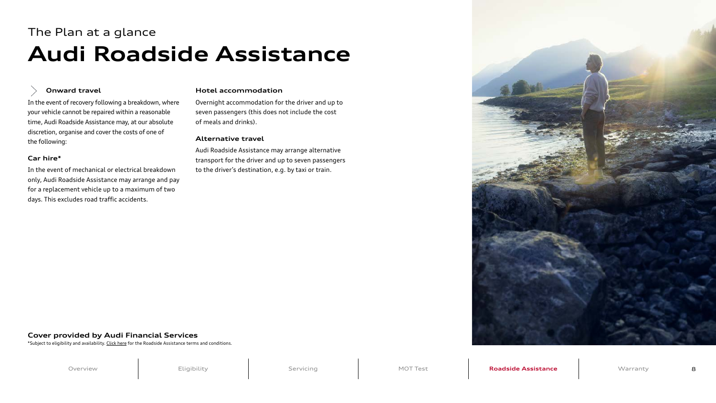#### **Onward travel**

In the event of recovery following a breakdown, where your vehicle cannot be repaired within a reasonable time, Audi Roadside Assistance may, at our absolute discretion, organise and cover the costs of one of the following:

#### **Car hire\***

In the event of mechanical or electrical breakdown only, Audi Roadside Assistance may arrange and pay for a replacement vehicle up to a maximum of two days. This excludes road traffic accidents.

#### **Hotel accommodation**

Overnight accommodation for the driver and up to seven passengers (this does not include the cost of meals and drinks).

#### **Alternative travel**

Audi Roadside Assistance may arrange alternative transport for the driver and up to seven passengers to the driver's destination, e.g. by taxi or train.

## <span id="page-7-0"></span>**Audi Roadside Assistance** The Plan at a glance

\*Subject to eligibility and availability. [Click here](https://customer.vwfs.co.uk/content/dam/bluelabel/valid/www-vwfs-co-uk/documents/Audi_Roadside_Assistance_Handbook.pdf) for the Roadside Assistance terms and conditions.



#### **Cover provided by Audi Financial Services**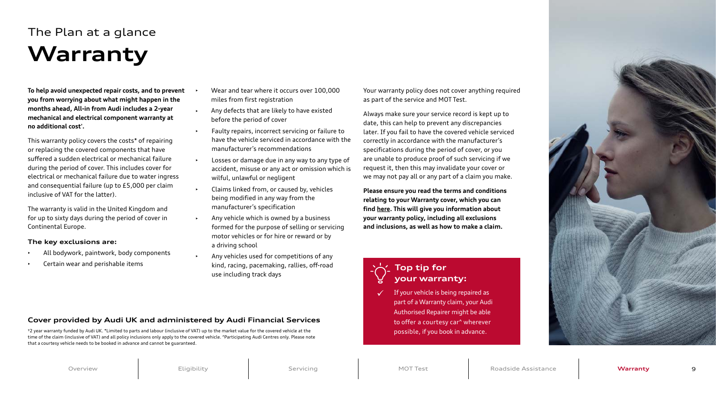**To help avoid unexpected repair costs, and to prevent you from worrying about what might happen in the months ahead, All-in from Audi includes a 2-year mechanical and electrical component warranty at no additional cost† .** 

This warranty policy covers the costs\* of repairing or replacing the covered components that have suffered a sudden electrical or mechanical failure during the period of cover. This includes cover for electrical or mechanical failure due to water ingress and consequential failure (up to £5,000 per claim inclusive of VAT for the latter).

The warranty is valid in the United Kingdom and for up to sixty days during the period of cover in Continental Europe.

#### **The key exclusions are:**

- All bodywork, paintwork, body components
- Certain wear and perishable items
- Wear and tear where it occurs over 100,000 miles from first registration
- Any defects that are likely to have existed before the period of cover
- Faulty repairs, incorrect servicing or failure to have the vehicle serviced in accordance with the manufacturer's recommendations
- Losses or damage due in any way to any type of accident, misuse or any act or omission which is wilful, unlawful or negligent
- Claims linked from, or caused by, vehicles being modified in any way from the manufacturer's specification
- $\rightarrow$  Any vehicle which is owned by a business formed for the purpose of selling or servicing motor vehicles or for hire or reward or by a driving school
- Any vehicles used for competitions of any kind, racing, pacemaking, rallies, off-road use including track days

Your warranty policy does not cover anything required as part of the service and MOT Test.

Always make sure your service record is kept up to date, this can help to prevent any discrepancies later. If you fail to have the covered vehicle serviced correctly in accordance with the manufacturer's specifications during the period of cover, or you are unable to produce proof of such servicing if we request it, then this may invalidate your cover or we may not pay all or any part of a claim you make.

**Please ensure you read the terms and conditions relating to your Warranty cover, which you can find [here.](https://customer.vwfs.co.uk/content/dam/bluelabel/valid/www-vwfs-co-uk/documents/Audi_Warranty%E2%80%93Terms_and_Conditions.pdf) This will give you information about your warranty policy, including all exclusions and inclusions, as well as how to make a claim.**



 If your vehicle is being repaired as part of a Warranty claim, your Audi Authorised Repairer might be able to offer a courtesy car^ wherever possible, if you book in advance.

#### **Top tip for your warranty:**

## <span id="page-8-0"></span>**Warranty** The Plan at a glance

†2 year warranty funded by Audi UK. \*Limited to parts and labour (inclusive of VAT) up to the market value for the covered vehicle at the time of the claim (inclusive of VAT) and all policy inclusions only apply to the covered vehicle. ^Participating Audi Centres only. Please note that a courtesy vehicle needs to be booked in advance and cannot be guaranteed.



#### **Cover provided by Audi UK and administered by Audi Financial Services**